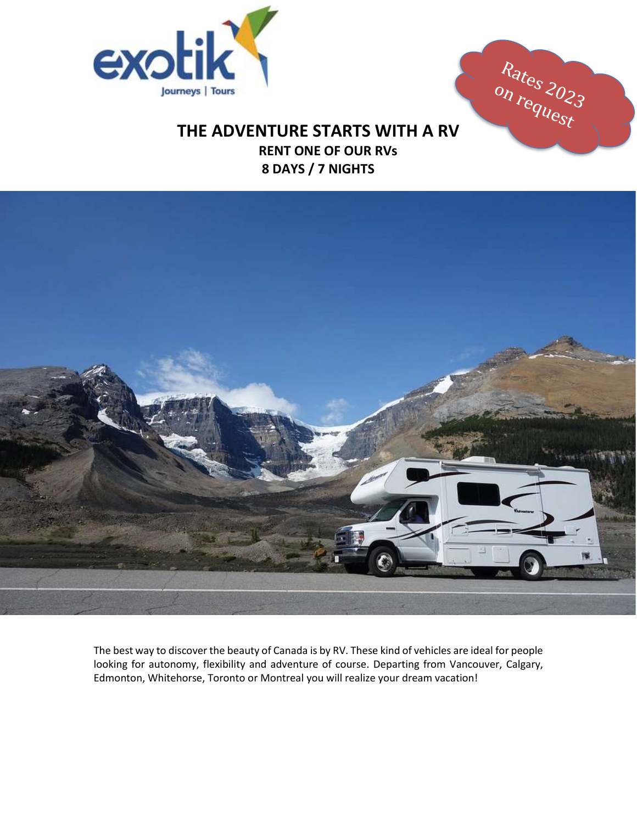

Rates 2023

# **THE ADVENTURE STARTS WITH A RV**

 **RENT ONE OF OUR RVs 8 DAYS / 7 NIGHTS**



The best way to discover the beauty of Canada is by RV. These kind of vehicles are ideal for people looking for autonomy, flexibility and adventure of course. Departing from Vancouver, Calgary, Edmonton, Whitehorse, Toronto or Montreal you will realize your dream vacation!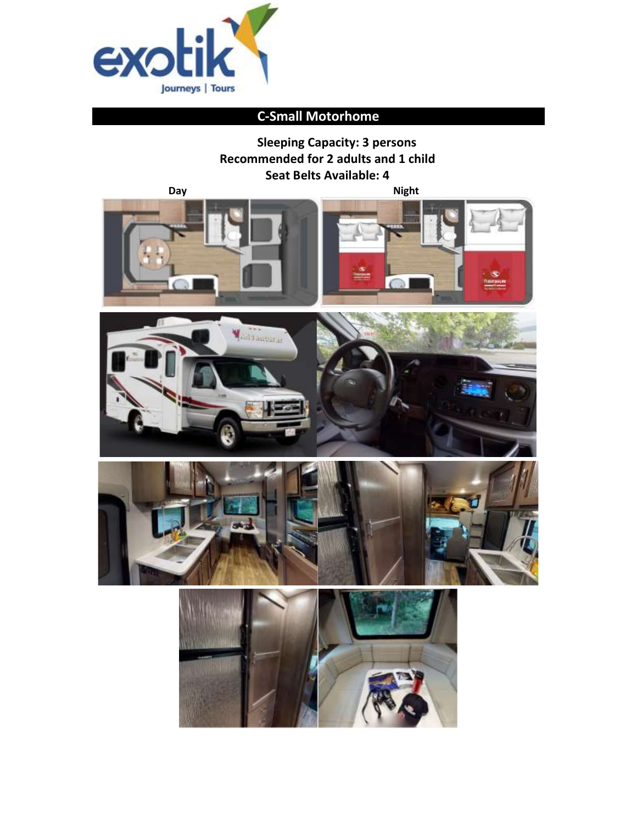

# **C-Small Motorhome**

**Sleeping Capacity: 3 persons Recommended for 2 adults and 1 child Seat Belts Available: 4 Day** Night





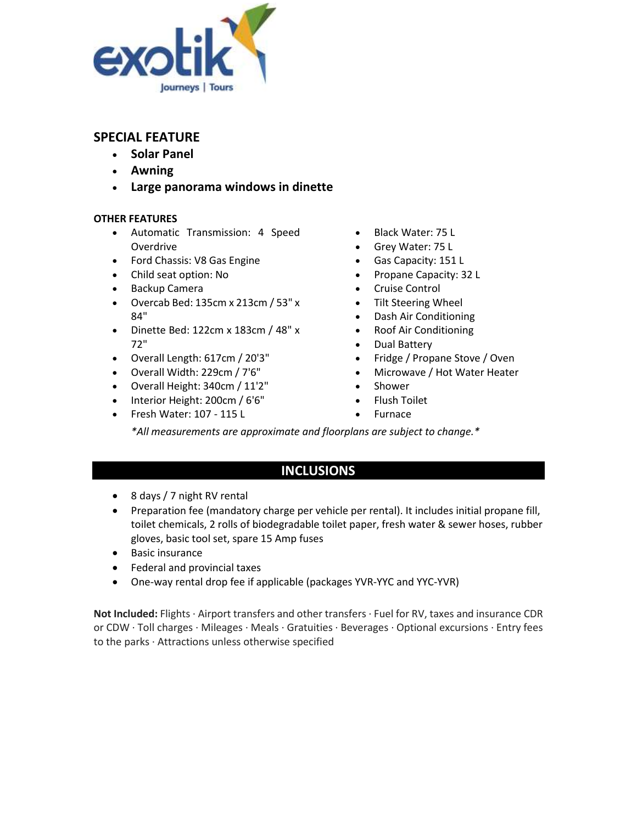

- **Solar Panel**
- **Awning**
- **Large panorama windows in dinette**

### **OTHER FEATURES**

- Automatic Transmission: 4 Speed Overdrive
- Ford Chassis: V8 Gas Engine
- Child seat option: No
- Backup Camera
- Overcab Bed: 135cm x 213cm / 53" x 84"
- Dinette Bed: 122cm x 183cm / 48" x 72"
- Overall Length: 617cm / 20'3"
- Overall Width: 229cm / 7'6"
- Overall Height: 340cm / 11'2"
- Interior Height: 200cm / 6'6"
- Fresh Water: 107 115 L
- Black Water: 75 L
- Grey Water: 75 L
- Gas Capacity: 151 L
- Propane Capacity: 32 L
- Cruise Control
- Tilt Steering Wheel
- Dash Air Conditioning
- Roof Air Conditioning
- Dual Battery
- Fridge / Propane Stove / Oven
- Microwave / Hot Water Heater
- Shower
- Flush Toilet
- Furnace

*\*All measurements are approximate and floorplans are subject to change.\**

### **INCLUSIONS**

- 8 days / 7 night RV rental
- Preparation fee (mandatory charge per vehicle per rental). It includes initial propane fill, toilet chemicals, 2 rolls of biodegradable toilet paper, fresh water & sewer hoses, rubber gloves, basic tool set, spare 15 Amp fuses
- Basic insurance
- Federal and provincial taxes
- One-way rental drop fee if applicable (packages YVR-YYC and YYC-YVR)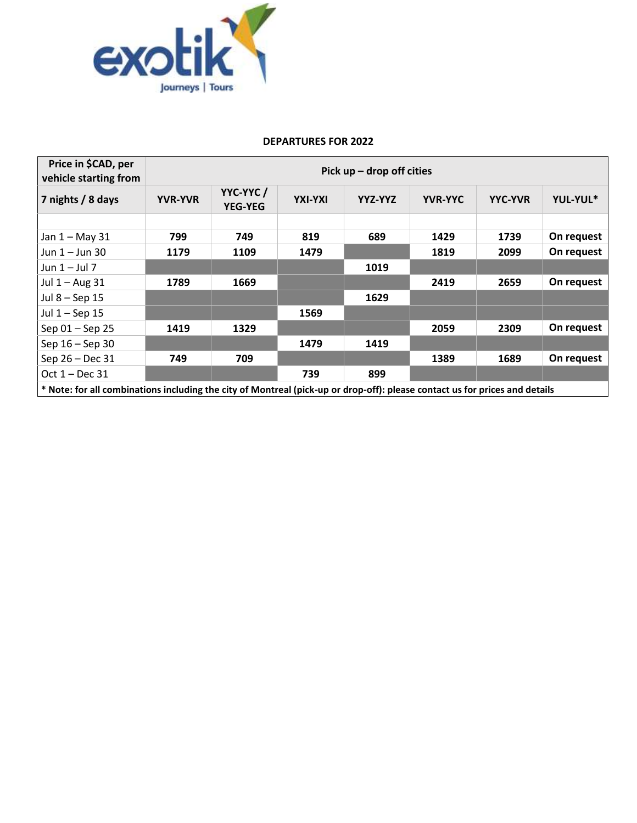

| Price in \$CAD, per<br>vehicle starting from                                                                                | Pick $up$ – drop off cities |                            |         |         |                |                |            |
|-----------------------------------------------------------------------------------------------------------------------------|-----------------------------|----------------------------|---------|---------|----------------|----------------|------------|
| 7 nights / 8 days                                                                                                           | <b>YVR-YVR</b>              | YYC-YYC/<br><b>YEG-YEG</b> | YXI-YXI | YYZ-YYZ | <b>YVR-YYC</b> | <b>YYC-YVR</b> | YUL-YUL*   |
|                                                                                                                             |                             |                            |         |         |                |                |            |
| Jan 1 - May 31                                                                                                              | 799                         | 749                        | 819     | 689     | 1429           | 1739           | On request |
| Jun $1 -$ Jun 30                                                                                                            | 1179                        | 1109                       | 1479    |         | 1819           | 2099           | On request |
| Jun $1 -$ Jul 7                                                                                                             |                             |                            |         | 1019    |                |                |            |
| Jul $1 -$ Aug 31                                                                                                            | 1789                        | 1669                       |         |         | 2419           | 2659           | On request |
| Jul 8 - Sep 15                                                                                                              |                             |                            |         | 1629    |                |                |            |
| Jul $1 -$ Sep 15                                                                                                            |                             |                            | 1569    |         |                |                |            |
| Sep 01 - Sep 25                                                                                                             | 1419                        | 1329                       |         |         | 2059           | 2309           | On request |
| Sep 16 - Sep 30                                                                                                             |                             |                            | 1479    | 1419    |                |                |            |
| Sep 26 - Dec 31                                                                                                             | 749                         | 709                        |         |         | 1389           | 1689           | On request |
| Oct $1 - Dec 31$                                                                                                            |                             |                            | 739     | 899     |                |                |            |
| * Note: for all combinations including the city of Montreal (pick-up or drop-off): please contact us for prices and details |                             |                            |         |         |                |                |            |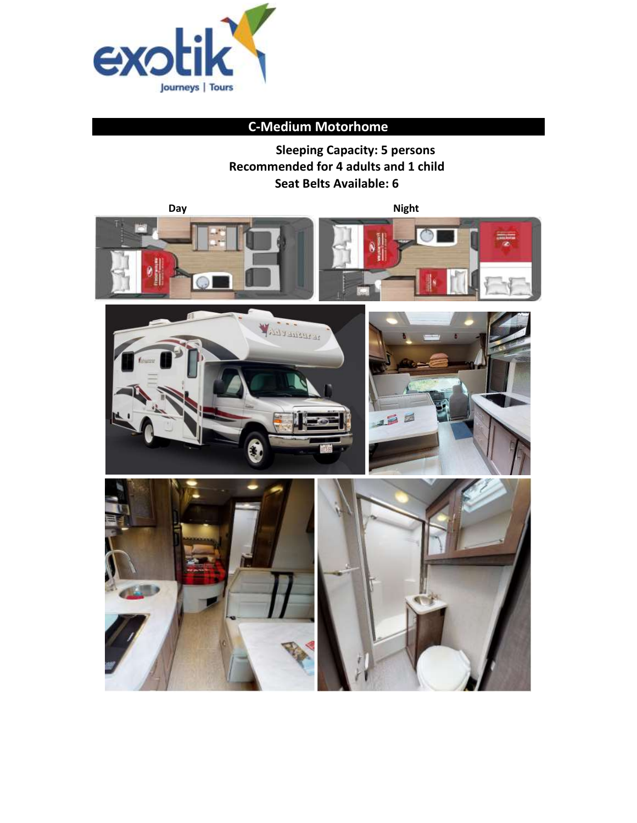

# **C-Medium Motorhome**

**Sleeping Capacity: 5 persons Recommended for 4 adults and 1 child Seat Belts Available: 6**

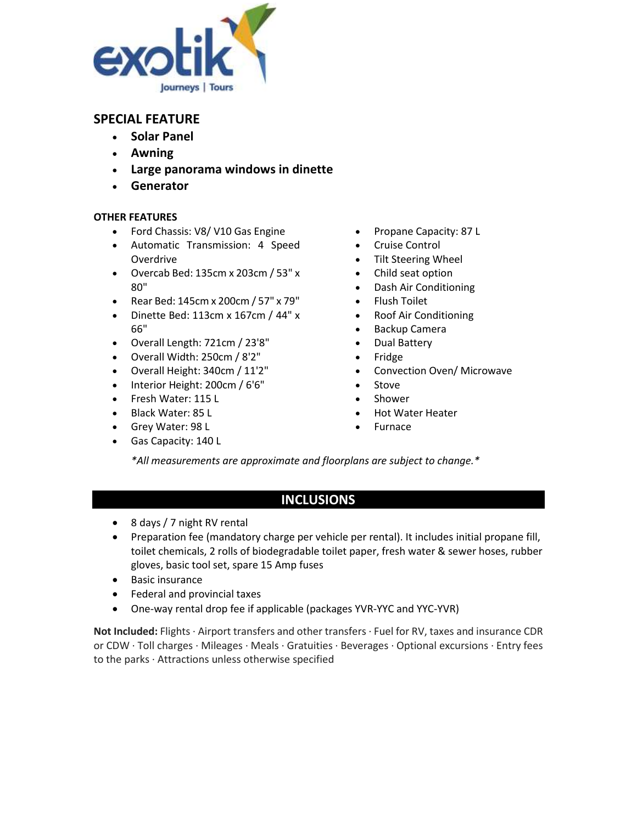

- **Solar Panel**
- **Awning**
- **Large panorama windows in dinette**
- **Generator**

### **OTHER FEATURES**

- Ford Chassis: V8/ V10 Gas Engine
- Automatic Transmission: 4 Speed Overdrive
- Overcab Bed: 135cm x 203cm / 53" x 80"
- Rear Bed: 145cm x 200cm / 57" x 79"
- Dinette Bed: 113cm x 167cm / 44" x 66"
- Overall Length: 721cm / 23'8"
- Overall Width: 250cm / 8'2"
- Overall Height: 340cm / 11'2"
- Interior Height: 200cm / 6'6"
- Fresh Water: 115 L
- Black Water: 85 L
- Grey Water: 98 L
- Gas Capacity: 140 L
- Propane Capacity: 87 L
- Cruise Control
- Tilt Steering Wheel
- Child seat option
- Dash Air Conditioning
- Flush Toilet
- Roof Air Conditioning
- Backup Camera
- Dual Battery
- Fridge
- Convection Oven/ Microwave
- Stove
- **Shower**
- Hot Water Heater
- Furnace

*\*All measurements are approximate and floorplans are subject to change.\**

# **INCLUSIONS**

- 8 days / 7 night RV rental
- Preparation fee (mandatory charge per vehicle per rental). It includes initial propane fill, toilet chemicals, 2 rolls of biodegradable toilet paper, fresh water & sewer hoses, rubber gloves, basic tool set, spare 15 Amp fuses
- Basic insurance
- Federal and provincial taxes
- One-way rental drop fee if applicable (packages YVR-YYC and YYC-YVR)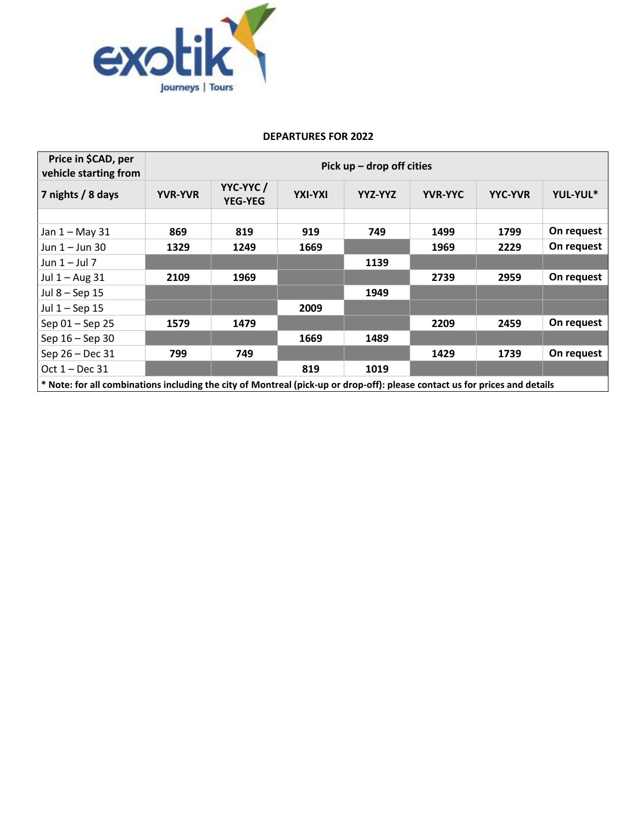

| Price in \$CAD, per<br>vehicle starting from                                                                                | Pick $up$ – drop off cities |                            |         |         |                |                |            |
|-----------------------------------------------------------------------------------------------------------------------------|-----------------------------|----------------------------|---------|---------|----------------|----------------|------------|
| 7 nights / 8 days                                                                                                           | <b>YVR-YVR</b>              | YYC-YYC/<br><b>YEG-YEG</b> | YXI-YXI | YYZ-YYZ | <b>YVR-YYC</b> | <b>YYC-YVR</b> | YUL-YUL*   |
|                                                                                                                             |                             |                            |         |         |                |                |            |
| Jan 1 - May 31                                                                                                              | 869                         | 819                        | 919     | 749     | 1499           | 1799           | On request |
| Jun $1 -$ Jun 30                                                                                                            | 1329                        | 1249                       | 1669    |         | 1969           | 2229           | On request |
| Jun $1 -$ Jul 7                                                                                                             |                             |                            |         | 1139    |                |                |            |
| Jul $1 -$ Aug 31                                                                                                            | 2109                        | 1969                       |         |         | 2739           | 2959           | On request |
| Jul 8 - Sep 15                                                                                                              |                             |                            |         | 1949    |                |                |            |
| Jul $1 -$ Sep 15                                                                                                            |                             |                            | 2009    |         |                |                |            |
| Sep 01 - Sep 25                                                                                                             | 1579                        | 1479                       |         |         | 2209           | 2459           | On request |
| Sep $16 -$ Sep 30                                                                                                           |                             |                            | 1669    | 1489    |                |                |            |
| Sep 26 - Dec 31                                                                                                             | 799                         | 749                        |         |         | 1429           | 1739           | On request |
| Oct 1 - Dec 31                                                                                                              |                             |                            | 819     | 1019    |                |                |            |
| * Note: for all combinations including the city of Montreal (pick-up or drop-off): please contact us for prices and details |                             |                            |         |         |                |                |            |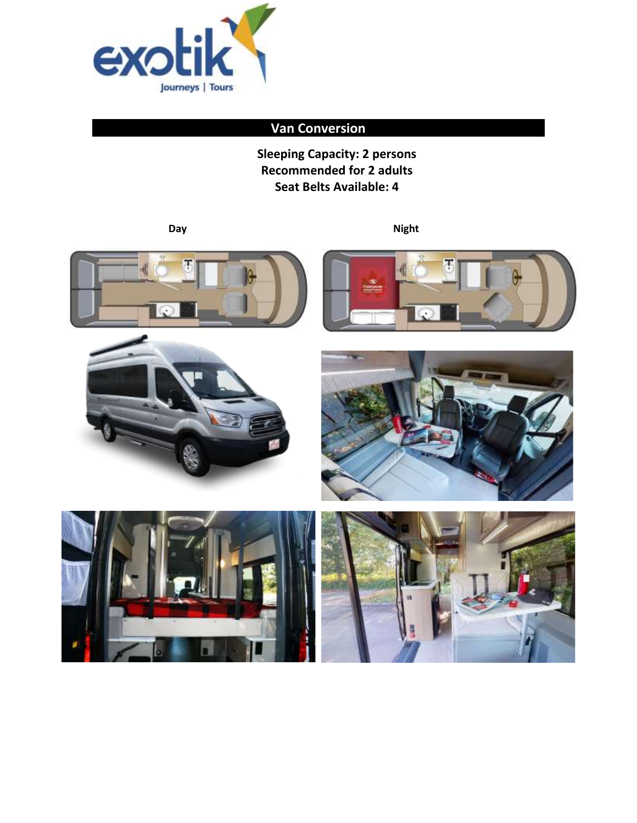

# **Van Conversion**

**Sleeping Capacity: 2 persons Recommended for 2 adults Seat Belts Available: 4**

**Day** Night











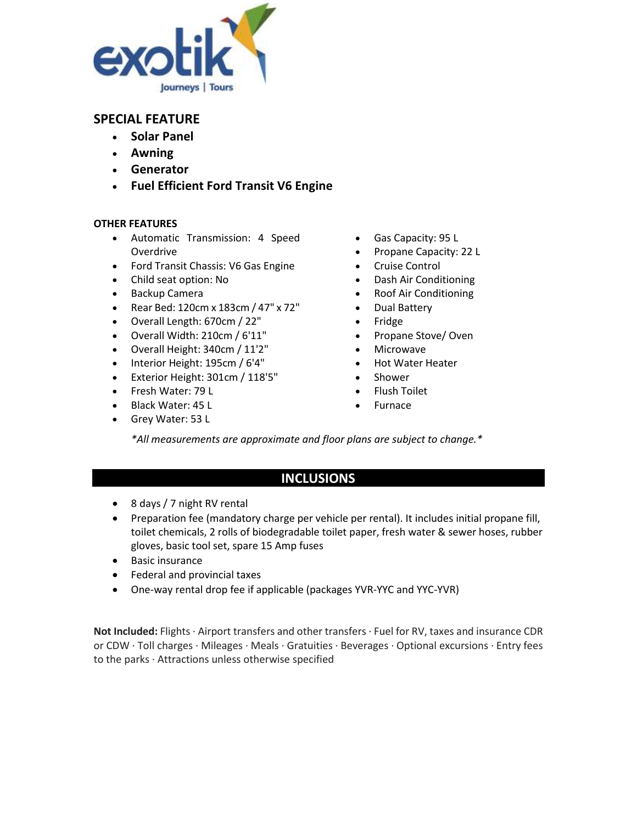

- **Solar Panel**
- **Awning**
- **Generator**
- **Fuel Efficient Ford Transit V6 Engine**

### **OTHER FEATURES**

- Automatic Transmission: 4 Speed Overdrive
- Ford Transit Chassis: V6 Gas Engine
- Child seat option: No
- Backup Camera
- Rear Bed: 120cm x 183cm / 47" x 72"
- Overall Length: 670cm / 22"
- Overall Width: 210cm / 6'11"
- Overall Height: 340cm / 11'2"
- Interior Height: 195cm / 6'4"
- Exterior Height: 301cm / 118'5"
- Fresh Water: 79 L
- Black Water: 45 L
- Grey Water: 53 L
- Gas Capacity: 95 L
- Propane Capacity: 22 L
- Cruise Control
- Dash Air Conditioning
- Roof Air Conditioning
- Dual Battery
- Fridge
- Propane Stove/ Oven
- Microwave
- Hot Water Heater
- Shower
- Flush Toilet
- **Furnace**

*\*All measurements are approximate and floor plans are subject to change.\**

## **INCLUSIONS**

- 8 days / 7 night RV rental
- Preparation fee (mandatory charge per vehicle per rental). It includes initial propane fill, toilet chemicals, 2 rolls of biodegradable toilet paper, fresh water & sewer hoses, rubber gloves, basic tool set, spare 15 Amp fuses
- Basic insurance
- Federal and provincial taxes
- One-way rental drop fee if applicable (packages YVR-YYC and YYC-YVR)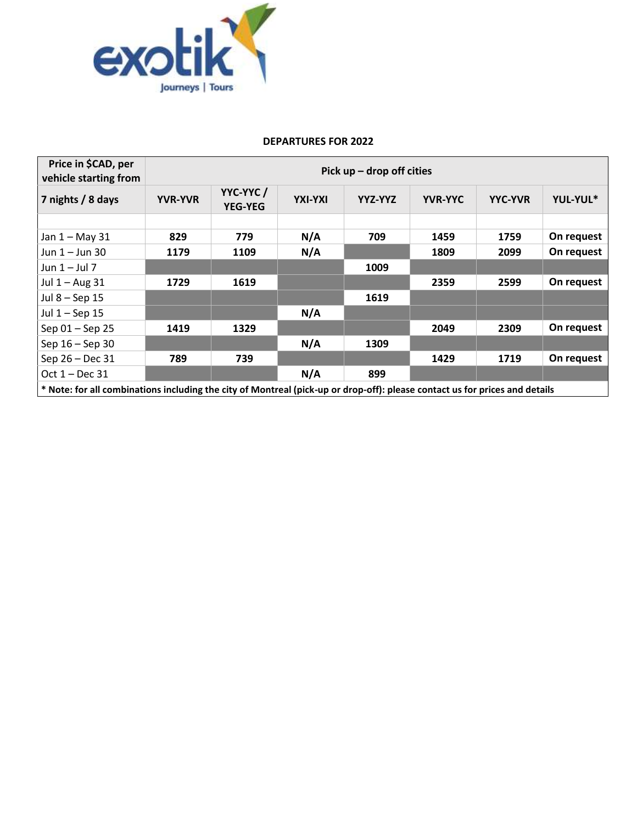

| Price in \$CAD, per<br>vehicle starting from                                                                                | Pick $up$ – drop off cities |                            |         |         |                |                |            |
|-----------------------------------------------------------------------------------------------------------------------------|-----------------------------|----------------------------|---------|---------|----------------|----------------|------------|
| 7 nights / 8 days                                                                                                           | <b>YVR-YVR</b>              | YYC-YYC/<br><b>YEG-YEG</b> | YXI-YXI | YYZ-YYZ | <b>YVR-YYC</b> | <b>YYC-YVR</b> | YUL-YUL*   |
|                                                                                                                             |                             |                            |         |         |                |                |            |
| Jan 1 - May 31                                                                                                              | 829                         | 779                        | N/A     | 709     | 1459           | 1759           | On request |
| Jun $1 -$ Jun 30                                                                                                            | 1179                        | 1109                       | N/A     |         | 1809           | 2099           | On request |
| Jun $1 -$ Jul 7                                                                                                             |                             |                            |         | 1009    |                |                |            |
| Jul $1 -$ Aug 31                                                                                                            | 1729                        | 1619                       |         |         | 2359           | 2599           | On request |
| Jul 8 - Sep 15                                                                                                              |                             |                            |         | 1619    |                |                |            |
| Jul $1 -$ Sep 15                                                                                                            |                             |                            | N/A     |         |                |                |            |
| Sep 01 - Sep 25                                                                                                             | 1419                        | 1329                       |         |         | 2049           | 2309           | On request |
| Sep 16 - Sep 30                                                                                                             |                             |                            | N/A     | 1309    |                |                |            |
| Sep 26 - Dec 31                                                                                                             | 789                         | 739                        |         |         | 1429           | 1719           | On request |
| Oct 1 - Dec 31                                                                                                              |                             |                            | N/A     | 899     |                |                |            |
| * Note: for all combinations including the city of Montreal (pick-up or drop-off): please contact us for prices and details |                             |                            |         |         |                |                |            |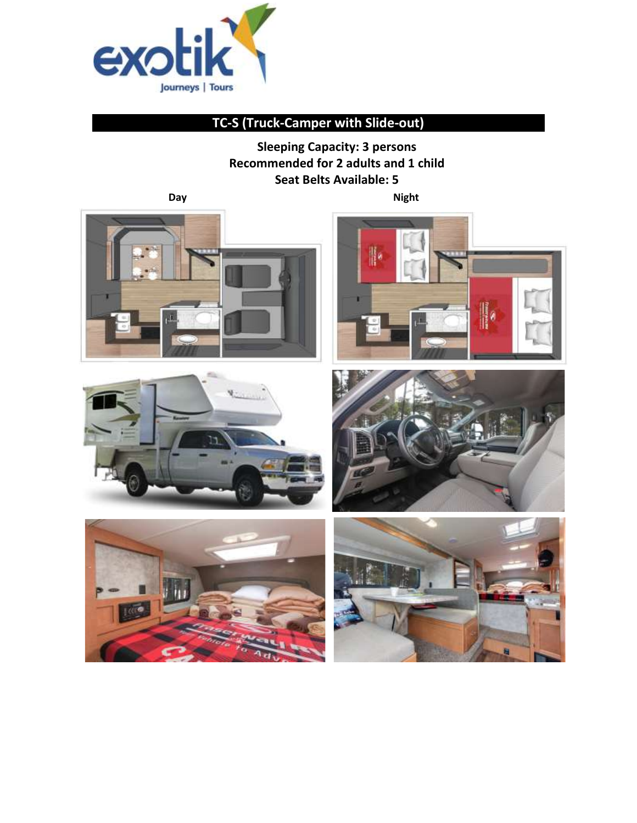

# **TC-S (Truck-Camper with Slide-out)**

**Sleeping Capacity: 3 persons Recommended for 2 adults and 1 child Seat Belts Available: 5**

**Day** Night











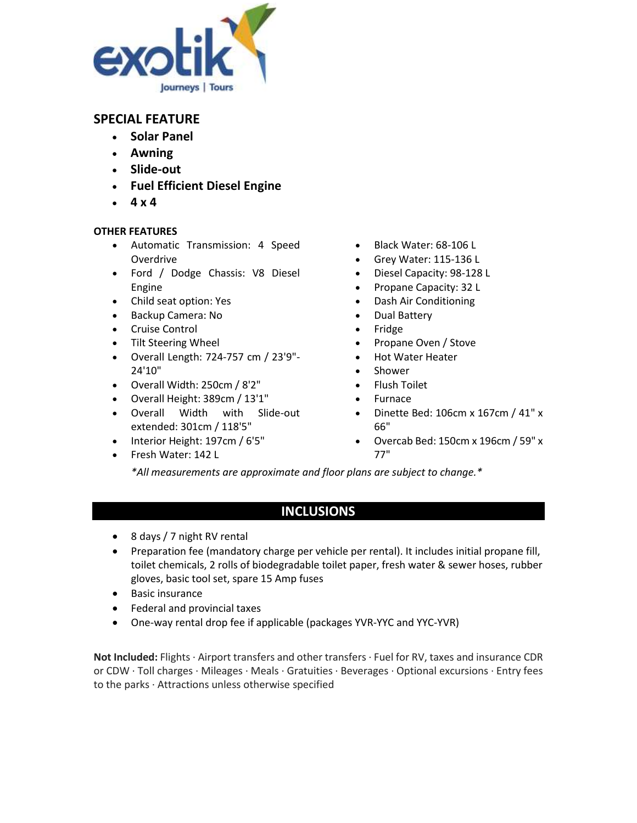

- **Solar Panel**
- **Awning**
- **Slide-out**
- **Fuel Efficient Diesel Engine**
- **4 x 4**

### **OTHER FEATURES**

- Automatic Transmission: 4 Speed Overdrive
- Ford / Dodge Chassis: V8 Diesel Engine
- Child seat option: Yes
- Backup Camera: No
- Cruise Control
- Tilt Steering Wheel
- Overall Length: 724-757 cm / 23'9"- 24'10"
- Overall Width: 250cm / 8'2"
- Overall Height: 389cm / 13'1"
- Overall Width with Slide-out extended: 301cm / 118'5"
- Interior Height: 197cm / 6'5"
- Fresh Water: 142 L
- Black Water: 68-106 L
- Grey Water: 115-136 L
- Diesel Capacity: 98-128 L
- Propane Capacity: 32 L
- Dash Air Conditioning
- Dual Battery
- Fridge
- Propane Oven / Stove
- Hot Water Heater
- Shower
- Flush Toilet
- Furnace
- Dinette Bed: 106cm x 167cm / 41" x 66"
- Overcab Bed: 150cm x 196cm / 59" x 77"

*\*All measurements are approximate and floor plans are subject to change.\**

## **INCLUSIONS**

- 8 days / 7 night RV rental
- Preparation fee (mandatory charge per vehicle per rental). It includes initial propane fill, toilet chemicals, 2 rolls of biodegradable toilet paper, fresh water & sewer hoses, rubber gloves, basic tool set, spare 15 Amp fuses
- Basic insurance
- Federal and provincial taxes
- One-way rental drop fee if applicable (packages YVR-YYC and YYC-YVR)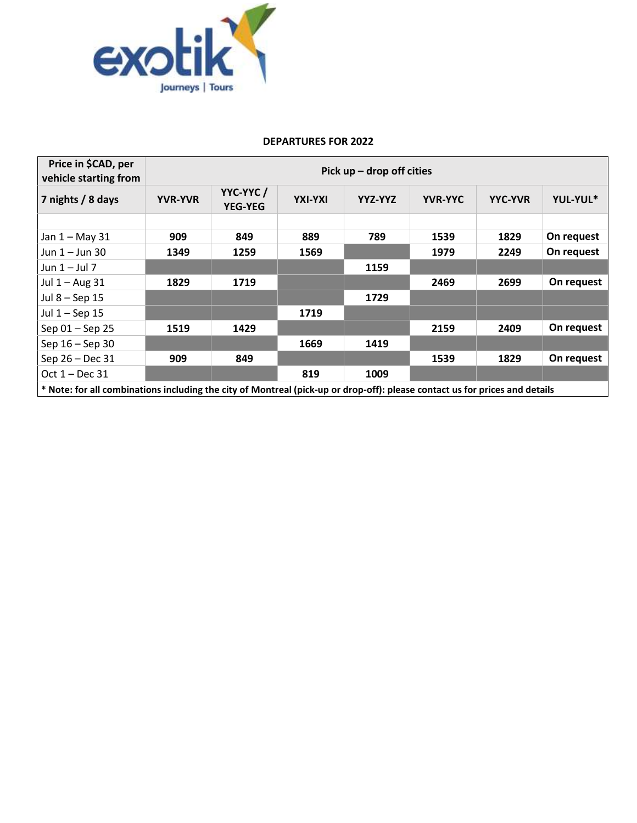

| Price in \$CAD, per<br>vehicle starting from                                                                                | Pick $up$ – drop off cities |                            |         |         |                |                |            |
|-----------------------------------------------------------------------------------------------------------------------------|-----------------------------|----------------------------|---------|---------|----------------|----------------|------------|
| 7 nights / 8 days                                                                                                           | <b>YVR-YVR</b>              | YYC-YYC/<br><b>YEG-YEG</b> | YXI-YXI | YYZ-YYZ | <b>YVR-YYC</b> | <b>YYC-YVR</b> | YUL-YUL*   |
|                                                                                                                             |                             |                            |         |         |                |                |            |
| Jan 1 - May 31                                                                                                              | 909                         | 849                        | 889     | 789     | 1539           | 1829           | On request |
| Jun $1 -$ Jun 30                                                                                                            | 1349                        | 1259                       | 1569    |         | 1979           | 2249           | On request |
| Jun $1 -$ Jul 7                                                                                                             |                             |                            |         | 1159    |                |                |            |
| Jul $1 -$ Aug 31                                                                                                            | 1829                        | 1719                       |         |         | 2469           | 2699           | On request |
| Jul 8 - Sep 15                                                                                                              |                             |                            |         | 1729    |                |                |            |
| Jul $1 -$ Sep 15                                                                                                            |                             |                            | 1719    |         |                |                |            |
| Sep 01 - Sep 25                                                                                                             | 1519                        | 1429                       |         |         | 2159           | 2409           | On request |
| Sep 16 - Sep 30                                                                                                             |                             |                            | 1669    | 1419    |                |                |            |
| Sep 26 - Dec 31                                                                                                             | 909                         | 849                        |         |         | 1539           | 1829           | On request |
| Oct $1 - Dec 31$                                                                                                            |                             |                            | 819     | 1009    |                |                |            |
| * Note: for all combinations including the city of Montreal (pick-up or drop-off): please contact us for prices and details |                             |                            |         |         |                |                |            |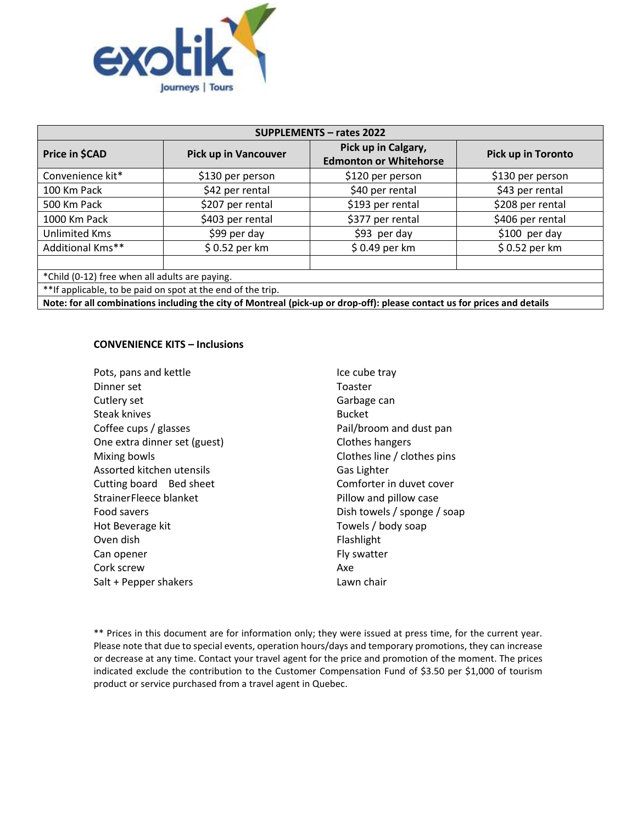

| <b>SUPPLEMENTS - rates 2022</b>                                                                                           |                             |                                                      |                    |  |  |  |
|---------------------------------------------------------------------------------------------------------------------------|-----------------------------|------------------------------------------------------|--------------------|--|--|--|
| Price in \$CAD                                                                                                            | <b>Pick up in Vancouver</b> | Pick up in Calgary,<br><b>Edmonton or Whitehorse</b> | Pick up in Toronto |  |  |  |
| Convenience kit*                                                                                                          | \$130 per person            | \$120 per person                                     | \$130 per person   |  |  |  |
| 100 Km Pack                                                                                                               | \$42 per rental             | \$40 per rental                                      | \$43 per rental    |  |  |  |
| 500 Km Pack                                                                                                               | \$207 per rental            | \$193 per rental                                     | \$208 per rental   |  |  |  |
| 1000 Km Pack                                                                                                              | \$403 per rental            | \$377 per rental                                     | \$406 per rental   |  |  |  |
| <b>Unlimited Kms</b>                                                                                                      | \$99 per day                | \$93 per day                                         | $$100$ per day     |  |  |  |
| Additional Kms**                                                                                                          | \$0.52 per km               | \$0.49 per km                                        | \$0.52 per km      |  |  |  |
| *Child (0-12) free when all adults are paying.                                                                            |                             |                                                      |                    |  |  |  |
| ** If applicable, to be paid on spot at the end of the trip.                                                              |                             |                                                      |                    |  |  |  |
| Note: for all combinations including the city of Montreal (pick-up or drop-off): please contact us for prices and details |                             |                                                      |                    |  |  |  |

### **CONVENIENCE KITS – Inclusions**

| Pots, pans and kettle        | Ice cube tray               |
|------------------------------|-----------------------------|
| Dinner set                   | Toaster                     |
| Cutlery set                  | Garbage can                 |
| <b>Steak knives</b>          | <b>Bucket</b>               |
| Coffee cups / glasses        | Pail/broom and dust pan     |
| One extra dinner set (guest) | Clothes hangers             |
| Mixing bowls                 | Clothes line / clothes pins |
| Assorted kitchen utensils    | Gas Lighter                 |
| Cutting board Bed sheet      | Comforter in duvet cover    |
| Strainer Fleece blanket      | Pillow and pillow case      |
| Food savers                  | Dish towels / sponge / soap |
| Hot Beverage kit             | Towels / body soap          |
| Oven dish                    | Flashlight                  |
| Can opener                   | Fly swatter                 |
| Cork screw                   | Axe                         |
| Salt + Pepper shakers        | Lawn chair                  |
|                              |                             |

\*\* Prices in this document are for information only; they were issued at press time, for the current year. Please note that due to special events, operation hours/days and temporary promotions, they can increase or decrease at any time. Contact your travel agent for the price and promotion of the moment. The prices indicated exclude the contribution to the Customer Compensation Fund of \$3.50 per \$1,000 of tourism product or service purchased from a travel agent in Quebec.